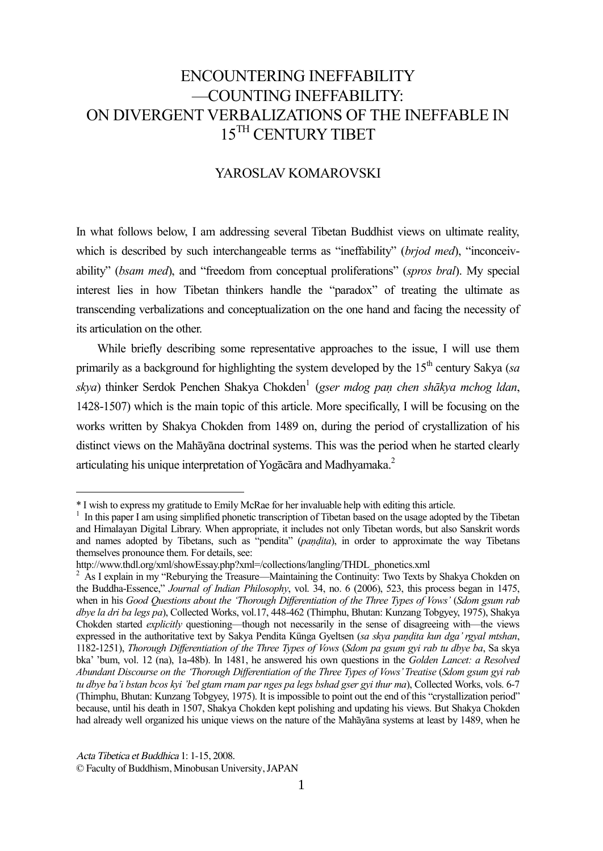# ENCOUNTERING INEFFABILITY —COUNTING INEFFABILITY: ON DIVERGENT VERBALIZATIONS OF THE INEFFABLE IN 15<sup>TH</sup> CENTURY TIBET

#### YAROSLAV KOMAROVSKI

In what follows below, I am addressing several Tibetan Buddhist views on ultimate reality, which is described by such interchangeable terms as "ineffability" (*brjod med*), "inconceivability" (*bsam med*), and "freedom from conceptual proliferations" (*spros bral*). My special interest lies in how Tibetan thinkers handle the "paradox" of treating the ultimate as transcending verbalizations and conceptualization on the one hand and facing the necessity of its articulation on the other.

While briefly describing some representative approaches to the issue, I will use them primarily as a background for highlighting the system developed by the  $15<sup>th</sup>$  century Sakya (*sa*) *skya*) thinker Serdok Penchen Shakya Chokden<sup>1</sup> (*gser mdog paṇ chen shākya mchog ldan*, 1428-1507) which is the main topic of this article. More specifically, I will be focusing on the works written by Shakya Chokden from 1489 on, during the period of crystallization of his distinct views on the Mahāyāna doctrinal systems. This was the period when he started clearly articulating his unique interpretation of Yogacara and Madhyamaka.<sup>2</sup>

<sup>\*</sup> I wish to express my gratitude to Emily McRae for her invaluable help with editing this article.

<sup>&</sup>lt;sup>1</sup> In this paper I am using simplified phonetic transcription of Tibetan based on the usage adopted by the Tibetan and Himalayan Digital Library. When appropriate, it includes not only Tibetan words, but also Sanskrit words and names adopted by Tibetans, such as "pendita" (*paṇḍita*), in order to approximate the way Tibetans themselves pronounce them. For details, see:

http://www.thdl.org/xml/showEssay.php?xml=/collections/langling/THDL\_phonetics.xml

<sup>2</sup> As I explain in my "Reburying the Treasure—Maintaining the Continuity: Two Texts by Shakya Chokden on the Buddha-Essence," *Journal of Indian Philosophy*, vol. 34, no. 6 (2006), 523, this process began in 1475, when in his *Good Questions about the 'Thorough Differentiation of the Three Types of Vows'* (*Sdom gsum rab dbye la dri ba legs pa*), Collected Works, vol.17, 448-462 (Thimphu, Bhutan: Kunzang Tobgyey, 1975), Shakya Chokden started *explicitly* questioning—though not necessarily in the sense of disagreeing with—the views expressed in the authoritative text by Sakya Pendita Künga Gyeltsen (*sa skya paṇḍita kun dga'rgyal mtshan*, 1182-1251), *Thorough Differentiation of the Three Types of Vows* (*Sdom pa gsum gyi rab tu dbye ba*, Sa skya bka' 'bum, vol. 12 (na), 1a-48b). In 1481, he answered his own questions in the *Golden Lancet: a Resolved Abundant Discourse on the 'Thorough Differentiation of the Three Types of Vows'Treatise* (*Sdom gsum gyi rab tu dbye ba'i bstan bcos kyi 'bel gtam rnam par nges pa legs bshad gser gyi thur ma*), Collected Works, vols. 6-7 (Thimphu, Bhutan: Kunzang Tobgyey, 1975). It is impossible to point out the end of this "crystallization period" because, until his death in 1507, Shakya Chokden kept polishing and updating his views. But Shakya Chokden had already well organized his unique views on the nature of the Mahāyāna systems at least by 1489, when he

Acta Tibetica et Buddhica 1: 1-15, 2008.

<sup>©</sup> Faculty of Buddhism, Minobusan University, JAPAN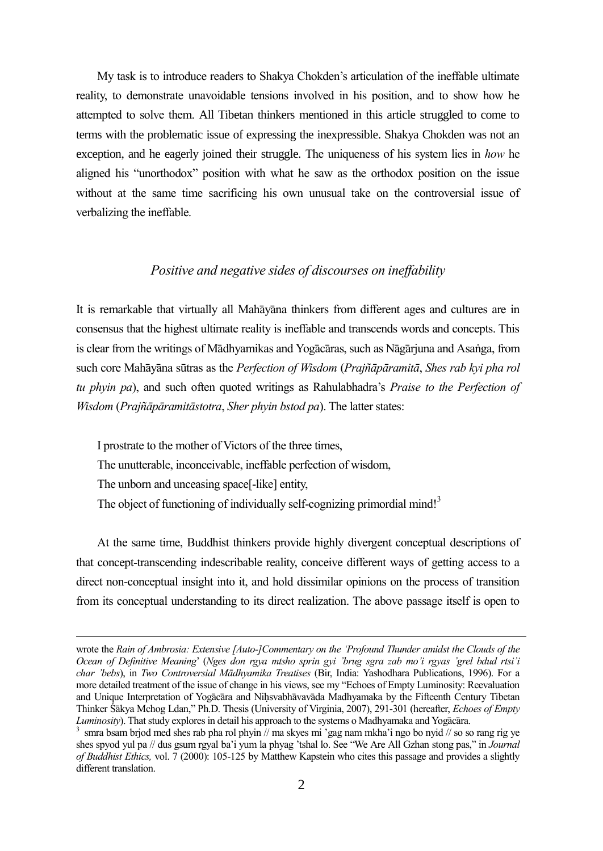My task is to introduce readers to Shakya Chokden's articulation of the ineffable ultimate reality, to demonstrate unavoidable tensions involved in his position, and to show how he attempted to solve them. All Tibetan thinkers mentioned in this article struggled to come to terms with the problematic issue of expressing the inexpressible. Shakya Chokden was not an exception, and he eagerly joined their struggle. The uniqueness of his system lies in *how* he aligned his "unorthodox" position with what he saw as the orthodox position on the issue without at the same time sacrificing his own unusual take on the controversial issue of verbalizing the ineffable.

# *Positive and negative sides of discourses on ineffability*

It is remarkable that virtually all Mahāyāna thinkers from different ages and cultures are in consensus that the highest ultimate reality is ineffable and transcends words and concepts. This is clear from the writings of Mādhyamikas and Yogācāras, such as Nāgārjuna and Asaṅga, from such core Mahāyāna sūtras as the *Perfection of Wisdom* (*Prajñāpāramitā*, *Shes rab kyi pha rol tu phyin pa*), and such often quoted writings as Rahulabhadra's *Praise to the Perfection of Wisdom* (*Prajñāpāramitāstotra*, *Sher phyin bstod pa*). The latter states:

I prostrate to the mother of Victors of the three times, The unutterable, inconceivable, ineffable perfection of wisdom, The unborn and unceasing space[-like] entity, The object of functioning of individually self-cognizing primordial mind!<sup>3</sup>

At the same time, Buddhist thinkers provide highly divergent conceptual descriptions of that concept-transcending indescribable reality, conceive different ways of getting access to a direct non-conceptual insight into it, and hold dissimilar opinions on the process of transition from its conceptual understanding to its direct realization. The above passage itself is open to

wrote the *Rain of Ambrosia: Extensive [Auto-]Commentary on the 'Profound Thunder amidst the Clouds of the Ocean of Definitive Meaning*' (*Nges don rgya mtsho sprin gyi 'brug sgra zab mo'i rgyas 'grel bdud rtsi'i char 'bebs*), in *Two Controversial Mādhyamika Treatises* (Bir, India: Yashodhara Publications, 1996). For a more detailed treatment of the issue of change in his views, see my "Echoes of Empty Luminosity: Reevaluation and Unique Interpretation of Yogācāra and Nihsvabhāvavāda Madhyamaka by the Fifteenth Century Tibetan Thinker Śākya Mchog Ldan," Ph.D. Thesis (University of Virginia, 2007), 291-301 (hereafter, *Echoes of Empty Luminosity*). That study explores in detail his approach to the systems o Madhyamaka and Yogācāra.

<sup>3</sup> smra bsam brjod med shes rab pha rol phyin // ma skyes mi 'gag nam mkha'i ngo bo nyid // so so rang rig ye shes spyod yul pa // dus gsum rgyal ba'i yum la phyag 'tshal lo. See "We Are All Gzhan stong pas," in *Journal of Buddhist Ethics,* vol. 7 (2000): 105-125 by Matthew Kapstein who cites this passage and provides a slightly different translation.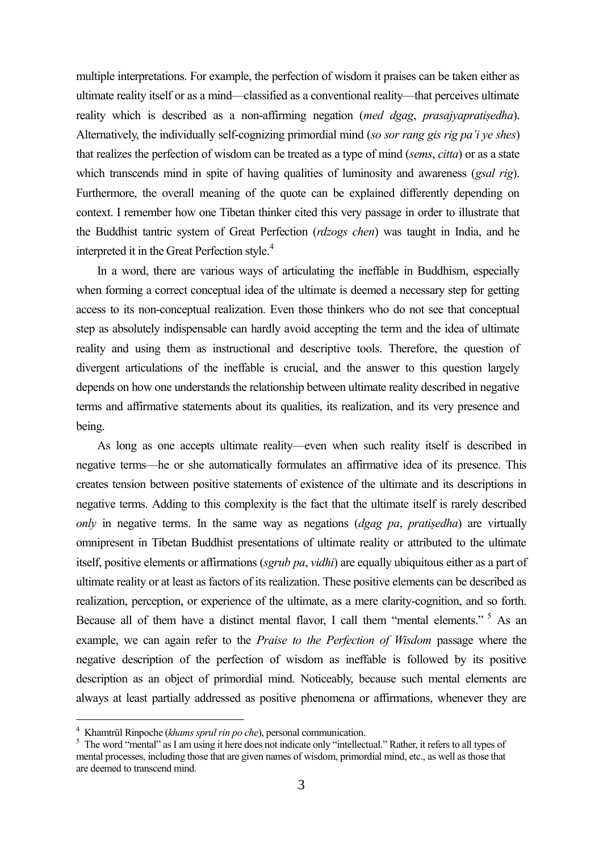multiple interpretations. For example, the perfection of wisdom it praises can be taken either as ultimate reality itself or as a mind—classified as a conventional reality—that perceives ultimate reality which is described as a non-affirming negation (*med dgag*, *prasajyapratiṣedha*). Alternatively, the individually self-cognizing primordial mind (*so sor rang gis rig pa'i ye shes*) that realizes the perfection of wisdom can be treated as a type of mind (*sems*, *citta*) or as a state which transcends mind in spite of having qualities of luminosity and awareness (*gsal rig*). Furthermore, the overall meaning of the quote can be explained differently depending on context. I remember how one Tibetan thinker cited this very passage in order to illustrate that the Buddhist tantric system of Great Perfection (*rdzogs chen*) was taught in India, and he interpreted it in the Great Perfection style.<sup>4</sup>

In a word, there are various ways of articulating the ineffable in Buddhism, especially when forming a correct conceptual idea of the ultimate is deemed a necessary step for getting access to its non-conceptual realization. Even those thinkers who do not see that conceptual step as absolutely indispensable can hardly avoid accepting the term and the idea of ultimate reality and using them as instructional and descriptive tools. Therefore, the question of divergent articulations of the ineffable is crucial, and the answer to this question largely depends on how one understands the relationship between ultimate reality described in negative terms and affirmative statements about its qualities, its realization, and its very presence and being.

As long as one accepts ultimate reality—even when such reality itself is described in negative terms—he or she automatically formulates an affirmative idea of its presence. This creates tension between positive statements of existence of the ultimate and its descriptions in negative terms. Adding to this complexity is the fact that the ultimate itself is rarely described *only* in negative terms. In the same way as negations (*dgag pa*, *pratiṣedha*) are virtually omnipresent in Tibetan Buddhist presentations of ultimate reality or attributed to the ultimate itself, positive elements or affirmations (*sgrub pa*, *vidhi*) are equally ubiquitous either as a part of ultimate reality or at least as factors of its realization. These positive elements can be described as realization, perception, or experience of the ultimate, as a mere clarity-cognition, and so forth. Because all of them have a distinct mental flavor. I call them "mental elements." <sup>5</sup> As an example, we can again refer to the *Praise to the Perfection of Wisdom* passage where the negative description of the perfection of wisdom as ineffable is followed by its positive description as an object of primordial mind. Noticeably, because such mental elements are always at least partially addressed as positive phenomena or affirmations, whenever they are

<sup>4</sup> Khamtrül Rinpoche (*khams sprul rin po che*), personal communication.

<sup>&</sup>lt;sup>5</sup> The word "mental" as I am using it here does not indicate only "intellectual." Rather, it refers to all types of mental processes, including those that are given names of wisdom, primordial mind, etc., as well as those that are deemed to transcend mind.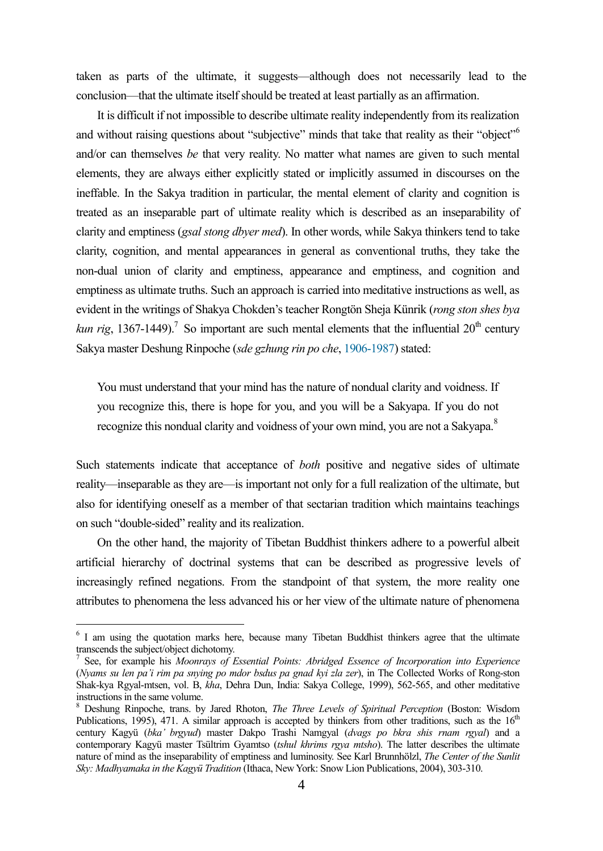taken as parts of the ultimate, it suggests—although does not necessarily lead to the conclusion—that the ultimate itself should be treated at least partially as an affirmation.

It is difficult if not impossible to describe ultimate reality independently from its realization and without raising questions about "subjective" minds that take that reality as their "object"<sup>6</sup> and/or can themselves *be* that very reality. No matter what names are given to such mental elements, they are always either explicitly stated or implicitly assumed in discourses on the ineffable. In the Sakya tradition in particular, the mental element of clarity and cognition is treated as an inseparable part of ultimate reality which is described as an inseparability of clarity and emptiness (*gsal stong dbyer med*). In other words, while Sakya thinkers tend to take clarity, cognition, and mental appearances in general as conventional truths, they take the non-dual union of clarity and emptiness, appearance and emptiness, and cognition and emptiness as ultimate truths. Such an approach is carried into meditative instructions as well, as evident in the writings of Shakya Chokden's teacher Rongtön Sheja Künrik (*rong ston shes bya kun rig*, 1367-1449).<sup>7</sup> So important are such mental elements that the influential  $20<sup>th</sup>$  century Sakya master Deshung Rinpoche (*sde gzhung rin po che*, 1906-1987) stated:

You must understand that your mind has the nature of nondual clarity and voidness. If you recognize this, there is hope for you, and you will be a Sakyapa. If you do not recognize this nondual clarity and voidness of your own mind, you are not a Sakyapa.<sup>8</sup>

Such statements indicate that acceptance of *both* positive and negative sides of ultimate reality—inseparable as they are—is important not only for a full realization of the ultimate, but also for identifying oneself as a member of that sectarian tradition which maintains teachings on such "double-sided" reality and its realization.

On the other hand, the majority of Tibetan Buddhist thinkers adhere to a powerful albeit artificial hierarchy of doctrinal systems that can be described as progressive levels of increasingly refined negations. From the standpoint of that system, the more reality one attributes to phenomena the less advanced his or her view of the ultimate nature of phenomena

<sup>&</sup>lt;sup>6</sup> I am using the quotation marks here, because many Tibetan Buddhist thinkers agree that the ultimate transcends the subject/object dichotomy.

<sup>7</sup> See, for example his *Moonrays of Essential Points: Abridged Essence of Incorporation into Experience* (*Nyams su len pa'i rim pa snying po mdor bsdus pa gnad kyi zla zer*), in The Collected Works of Rong-ston Shak-kya Rgyal-mtsen, vol. B, *kha*, Dehra Dun, India: Sakya College, 1999), 562-565, and other meditative instructions in the same volume.

<sup>8</sup> Deshung Rinpoche, trans. by Jared Rhoton, *The Three Levels of Spiritual Perception* (Boston: Wisdom Publications, 1995), 471. A similar approach is accepted by thinkers from other traditions, such as the  $16<sup>th</sup>$ century Kagyü (*bka' brgyud*) master Dakpo Trashi Namgyal (*dvags po bkra shis rnam rgyal*) and a contemporary Kagyü master Tsültrim Gyamtso (*tshul khrims rgya mtsho*). The latter describes the ultimate nature of mind as the inseparability of emptiness and luminosity. See Karl Brunnhölzl, *The Center of the Sunlit Sky: Madhyamaka in the Kagyü Tradition* (Ithaca, New York: Snow Lion Publications, 2004), 303-310.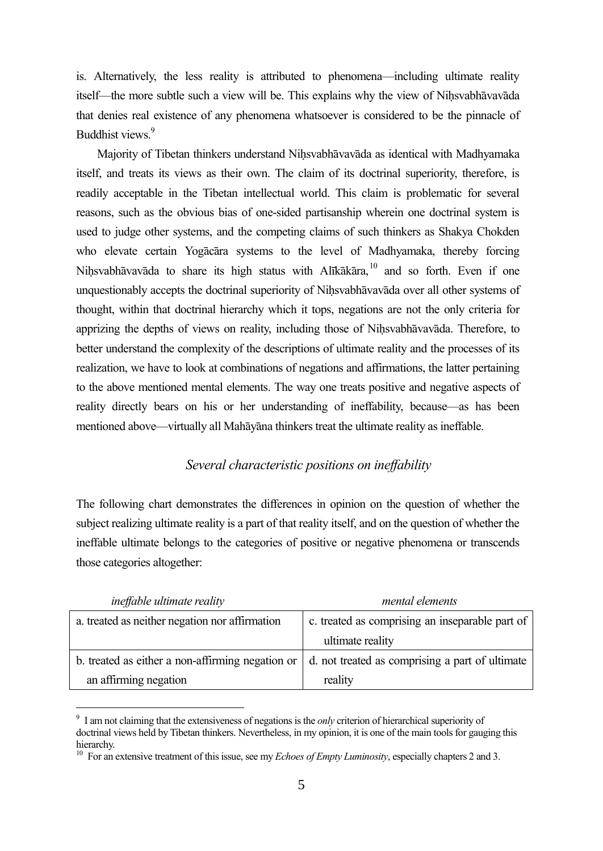is. Alternatively, the less reality is attributed to phenomena—including ultimate reality itself—the more subtle such a view will be. This explains why the view of Nihsvabhāvavāda that denies real existence of any phenomena whatsoever is considered to be the pinnacle of Buddhist views<sup>9</sup>

Majority of Tibetan thinkers understand Niḥsvabhāvavāda as identical with Madhyamaka itself, and treats its views as their own. The claim of its doctrinal superiority, therefore, is readily acceptable in the Tibetan intellectual world. This claim is problematic for several reasons, such as the obvious bias of one-sided partisanship wherein one doctrinal system is used to judge other systems, and the competing claims of such thinkers as Shakya Chokden who elevate certain Yogācāra systems to the level of Madhyamaka, thereby forcing Niḥsvabhāvavāda to share its high status with Alīkākāra, <sup>10</sup> and so forth. Even if one unquestionably accepts the doctrinal superiority of Nihsvabhāvavāda over all other systems of thought, within that doctrinal hierarchy which it tops, negations are not the only criteria for apprizing the depths of views on reality, including those of Niḥsvabhāvavāda. Therefore, to better understand the complexity of the descriptions of ultimate reality and the processes of its realization, we have to look at combinations of negations and affirmations, the latter pertaining to the above mentioned mental elements. The way one treats positive and negative aspects of reality directly bears on his or her understanding of ineffability, because—as has been mentioned above—virtually all Mahāyāna thinkers treat the ultimate reality as ineffable.

### *Several characteristic positions on ineffability*

The following chart demonstrates the differences in opinion on the question of whether the subject realizing ultimate reality is a part of that reality itself, and on the question of whether the ineffable ultimate belongs to the categories of positive or negative phenomena or transcends those categories altogether:

| <i>ineffable ultimate reality</i>                | mental elements                                 |
|--------------------------------------------------|-------------------------------------------------|
| a. treated as neither negation nor affirmation   | c. treated as comprising an inseparable part of |
|                                                  | ultimate reality                                |
| b. treated as either a non-affirming negation or | d. not treated as comprising a part of ultimate |
| an affirming negation                            | reality                                         |

<sup>9</sup> I am not claiming that the extensiveness of negations is the *only* criterion of hierarchical superiority of doctrinal views held by Tibetan thinkers. Nevertheless, in my opinion, it is one of the main tools for gauging this hierarchy.

<sup>&</sup>lt;sup>10</sup> For an extensive treatment of this issue, see my *Echoes of Empty Luminosity*, especially chapters 2 and 3.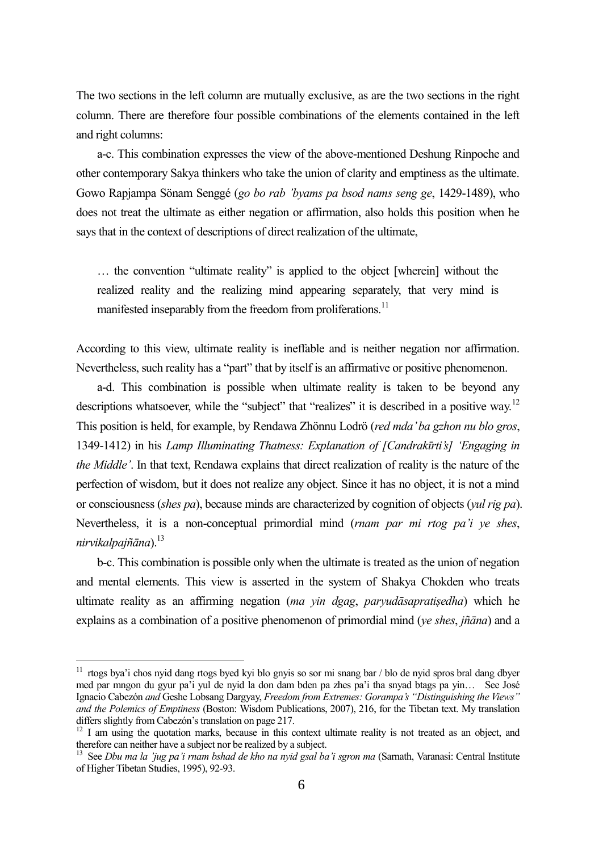The two sections in the left column are mutually exclusive, as are the two sections in the right column. There are therefore four possible combinations of the elements contained in the left and right columns:

a-c. This combination expresses the view of the above-mentioned Deshung Rinpoche and other contemporary Sakya thinkers who take the union of clarity and emptiness as the ultimate. Gowo Rapjampa Sönam Senggé (*go bo rab 'byams pa bsod nams seng ge*, 1429-1489), who does not treat the ultimate as either negation or affirmation, also holds this position when he says that in the context of descriptions of direct realization of the ultimate,

… the convention "ultimate reality" is applied to the object [wherein] without the realized reality and the realizing mind appearing separately, that very mind is manifested inseparably from the freedom from proliferations.<sup>11</sup>

According to this view, ultimate reality is ineffable and is neither negation nor affirmation. Nevertheless, such reality has a "part" that by itself is an affirmative or positive phenomenon.

a-d. This combination is possible when ultimate reality is taken to be beyond any descriptions whatsoever, while the "subject" that "realizes" it is described in a positive way.<sup>12</sup> This position is held, for example, by Rendawa Zhönnu Lodrö (*red mda'ba gzhon nu blo gros*, 1349-1412) in his *Lamp Illuminating Thatness: Explanation of [Candrakīrti's] 'Engaging in the Middle'*. In that text, Rendawa explains that direct realization of reality is the nature of the perfection of wisdom, but it does not realize any object. Since it has no object, it is not a mind or consciousness (*shes pa*), because minds are characterized by cognition of objects (*yul rig pa*). Nevertheless, it is a non-conceptual primordial mind (*rnam par mi rtog pa'i ye shes*, *nirvikalpajñāna*).<sup>13</sup>

b-c. This combination is possible only when the ultimate is treated as the union of negation and mental elements. This view is asserted in the system of Shakya Chokden who treats ultimate reality as an affirming negation (*ma yin dgag*, *paryudāsapratiṣedha*) which he explains as a combination of a positive phenomenon of primordial mind (*ye shes*, *jñāna*) and a

<sup>11</sup> rtogs bya'i chos nyid dang rtogs byed kyi blo gnyis so sor mi snang bar / blo de nyid spros bral dang dbyer med par mngon du gyur pa'i yul de nyid la don dam bden pa zhes pa'i tha snyad btags pa yin… See José Ignacio Cabezón *and* Geshe Lobsang Dargyay, *Freedom from Extremes: Gorampa's "Distinguishing the Views" and the Polemics of Emptiness* (Boston: Wisdom Publications, 2007), 216, for the Tibetan text. My translation differs slightly from Cabezón's translation on page 217.

<sup>&</sup>lt;sup>12</sup> I am using the quotation marks, because in this context ultimate reality is not treated as an object, and therefore can neither have a subject nor be realized by a subject.

<sup>&</sup>lt;sup>13</sup> See *Dbu ma la 'jug pa'i rnam bshad de kho na nyid gsal ba'i sgron ma (Sarnath, Varanasi: Central Institute* of Higher Tibetan Studies, 1995), 92-93.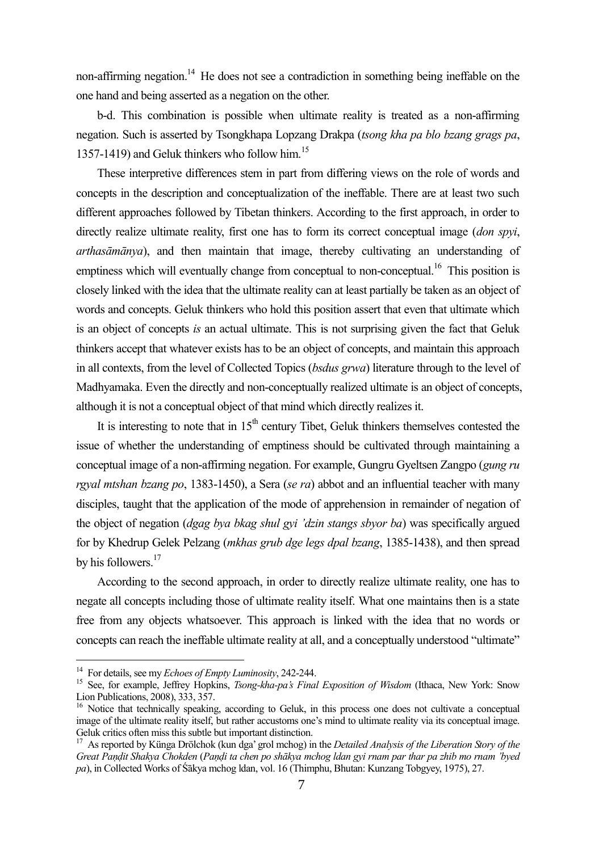non-affirming negation.<sup>14</sup> He does not see a contradiction in something being ineffable on the one hand and being asserted as a negation on the other.

b-d. This combination is possible when ultimate reality is treated as a non-affirming negation. Such is asserted by Tsongkhapa Lopzang Drakpa (*tsong kha pa blo bzang grags pa*, 1357-1419) and Geluk thinkers who follow him.<sup>15</sup>

These interpretive differences stem in part from differing views on the role of words and concepts in the description and conceptualization of the ineffable. There are at least two such different approaches followed by Tibetan thinkers. According to the first approach, in order to directly realize ultimate reality, first one has to form its correct conceptual image (*don spyi*, *arthasāmānya*), and then maintain that image, thereby cultivating an understanding of emptiness which will eventually change from conceptual to non-conceptual.<sup>16</sup> This position is closely linked with the idea that the ultimate reality can at least partially be taken as an object of words and concepts. Geluk thinkers who hold this position assert that even that ultimate which is an object of concepts *is* an actual ultimate. This is not surprising given the fact that Geluk thinkers accept that whatever exists has to be an object of concepts, and maintain this approach in all contexts, from the level of Collected Topics (*bsdus grwa*) literature through to the level of Madhyamaka. Even the directly and non-conceptually realized ultimate is an object of concepts, although it is not a conceptual object of that mind which directly realizes it.

It is interesting to note that in  $15<sup>th</sup>$  century Tibet, Geluk thinkers themselves contested the issue of whether the understanding of emptiness should be cultivated through maintaining a conceptual image of a non-affirming negation. For example, Gungru Gyeltsen Zangpo (*gung ru rgyal mtshan bzang po*, 1383-1450), a Sera (*se ra*) abbot and an influential teacher with many disciples, taught that the application of the mode of apprehension in remainder of negation of the object of negation (*dgag bya bkag shul gyi 'dzin stangs sbyor ba*) was specifically argued for by Khedrup Gelek Pelzang (*mkhas grub dge legs dpal bzang*, 1385-1438), and then spread by his followers.<sup>17</sup>

According to the second approach, in order to directly realize ultimate reality, one has to negate all concepts including those of ultimate reality itself. What one maintains then is a state free from any objects whatsoever. This approach is linked with the idea that no words or concepts can reach the ineffable ultimate reality at all, and a conceptually understood "ultimate"

<sup>14</sup> For details, see my *Echoes of Empty Luminosity*, 242-244.

<sup>15</sup> See, for example, Jeffrey Hopkins, *Tsong-kha-pa's Final Exposition of Wisdom* (Ithaca, New York: Snow Lion Publications, 2008), 333, 357.

<sup>&</sup>lt;sup>16</sup> Notice that technically speaking, according to Geluk, in this process one does not cultivate a conceptual image of the ultimate reality itself, but rather accustoms one's mind to ultimate reality via its conceptual image. Geluk critics often miss this subtle but important distinction.

<sup>17</sup> As reported by Künga Drölchok (kun dga' grol mchog) in the *Detailed Analysis of the Liberation Story of the* Great Pandit Shakya Chokden (Pandi ta chen po shākya mchog ldan gyi rnam par thar pa zhib mo rnam 'byed *pa*), in Collected Works of Śākya mchog ldan, vol. 16 (Thimphu, Bhutan: Kunzang Tobgyey, 1975), 27.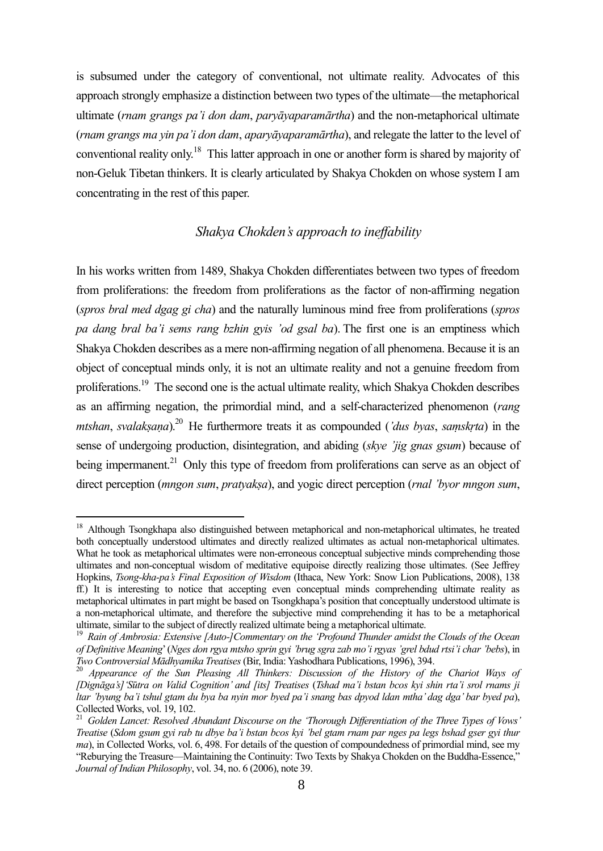is subsumed under the category of conventional, not ultimate reality. Advocates of this approach strongly emphasize a distinction between two types of the ultimate—the metaphorical ultimate (*rnam grangs pa'i don dam*, *paryāyaparamārtha*) and the non-metaphorical ultimate (*rnam grangs ma yin pa'i don dam*, *aparyāyaparamārtha*), and relegate the latter to the level of conventional reality only.<sup>18</sup> This latter approach in one or another form is shared by majority of non-Geluk Tibetan thinkers. It is clearly articulated by Shakya Chokden on whose system I am concentrating in the rest of this paper.

# *Shakya Chokden's approach to ineffability*

In his works written from 1489, Shakya Chokden differentiates between two types of freedom from proliferations: the freedom from proliferations as the factor of non-affirming negation (*spros bral med dgag gi cha*) and the naturally luminous mind free from proliferations (*spros pa dang bral ba'i sems rang bzhin gyis 'od gsal ba*). The first one is an emptiness which Shakya Chokden describes as a mere non-affirming negation of all phenomena. Because it is an object of conceptual minds only, it is not an ultimate reality and not a genuine freedom from proliferations.<sup>19</sup> The second one is the actual ultimate reality, which Shakya Chokden describes as an affirming negation, the primordial mind, and a self-characterized phenomenon (*rang mtshan*, *svalakṣaṇa*).<sup>20</sup> He furthermore treats it as compounded (*'dus byas*, *saṃskṛta*) in the sense of undergoing production, disintegration, and abiding (*skye 'jig gnas gsum*) because of being impermanent.<sup>21</sup> Only this type of freedom from proliferations can serve as an object of direct perception (*mngon sum*, *pratyakṣa*), and yogic direct perception (*rnal 'byor mngon sum*,

<sup>&</sup>lt;sup>18</sup> Although Tsongkhapa also distinguished between metaphorical and non-metaphorical ultimates, he treated both conceptually understood ultimates and directly realized ultimates as actual non-metaphorical ultimates. What he took as metaphorical ultimates were non-erroneous conceptual subjective minds comprehending those ultimates and non-conceptual wisdom of meditative equipoise directly realizing those ultimates. (See Jeffrey Hopkins, *Tsong-kha-pa's Final Exposition of Wisdom* (Ithaca, New York: Snow Lion Publications, 2008), 138 ff.) It is interesting to notice that accepting even conceptual minds comprehending ultimate reality as metaphorical ultimates in part might be based on Tsongkhapa's position that conceptually understood ultimate is a non-metaphorical ultimate, and therefore the subjective mind comprehending it has to be a metaphorical ultimate, similar to the subject of directly realized ultimate being a metaphorical ultimate.

<sup>19</sup> *Rain of Ambrosia: Extensive [Auto-]Commentary on the 'Profound Thunder amidst the Clouds of the Ocean of Definitive Meaning*'(*Nges don rgya mtsho sprin gyi 'brug sgra zab mo'i rgyas 'grel bdud rtsi'i char 'bebs*), in *Two Controversial Mādhyamika Treatises* (Bir, India: Yashodhara Publications, 1996), 394.

<sup>20</sup> *Appearance of the Sun Pleasing All Thinkers: Discussion of the History of the Chariot Ways of [Dignāga's]'Sūtra on Valid Cognition' and [its] Treatises* (*Tshad ma'i bstan bcos kyi shin rta'i srol rnams ji ltar 'byung ba'i tshul gtam du bya ba nyin mor byed pa'i snang bas dpyod ldan mtha' dag dga' bar byed pa*), Collected Works, vol. 19, 102.

<sup>21</sup> *Golden Lancet: Resolved Abundant Discourse on the 'Thorough Differentiation of the Three Types of Vows' Treatise* (*Sdom gsum gyi rab tu dbye ba'i bstan bcos kyi 'bel gtam rnam par nges pa legs bshad gser gyi thur ma*), in Collected Works, vol. 6, 498. For details of the question of compoundedness of primordial mind, see my "Reburying the Treasure—Maintaining the Continuity: Two Texts by Shakya Chokden on the Buddha-Essence," *Journal of Indian Philosophy*, vol. 34, no. 6 (2006), note 39.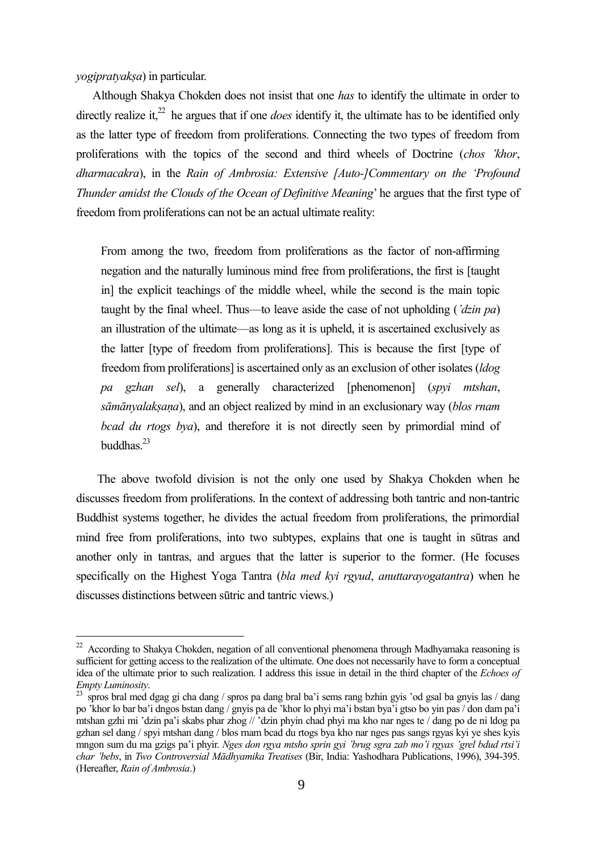*yogipratyakṣa*) in particular.

Although Shakya Chokden does not insist that one *has* to identify the ultimate in order to directly realize it,<sup>22</sup> he argues that if one *does* identify it, the ultimate has to be identified only as the latter type of freedom from proliferations. Connecting the two types of freedom from proliferations with the topics of the second and third wheels of Doctrine (*chos 'khor*, *dharmacakra*), in the *Rain of Ambrosia: Extensive [Auto-]Commentary on the 'Profound Thunder amidst the Clouds of the Ocean of Definitive Meaning*' he argues that the first type of freedom from proliferations can not be an actual ultimate reality:

From among the two, freedom from proliferations as the factor of non-affirming negation and the naturally luminous mind free from proliferations, the first is [taught in] the explicit teachings of the middle wheel, while the second is the main topic taught by the final wheel. Thus—to leave aside the case of not upholding (*'dzin pa*) an illustration of the ultimate—as long as it is upheld, it is ascertained exclusively as the latter [type of freedom from proliferations]. This is because the first [type of freedom from proliferations] is ascertained only as an exclusion of other isolates (*ldog pa gzhan sel*), a generally characterized [phenomenon] (*spyi mtshan*, *sāmānyalakṣaṇa*), and an object realized by mind in an exclusionary way (*blos rnam bcad du rtogs bya*), and therefore it is not directly seen by primordial mind of buddhas. $^{23}$ 

The above twofold division is not the only one used by Shakya Chokden when he discusses freedom from proliferations. In the context of addressing both tantric and non-tantric Buddhist systems together, he divides the actual freedom from proliferations, the primordial mind free from proliferations, into two subtypes, explains that one is taught in sūtras and another only in tantras, and argues that the latter is superior to the former. (He focuses specifically on the Highest Yoga Tantra (*bla med kyi rgyud*, *anuttarayogatantra*) when he discusses distinctions between sūtric and tantric views.)

 $22$  According to Shakya Chokden, negation of all conventional phenomena through Madhyamaka reasoning is sufficient for getting access to the realization of the ultimate. One does not necessarily have to form a conceptual idea of the ultimate prior to such realization. I address this issue in detail in the third chapter of the *Echoes of Empty Luminosity*.

<sup>&</sup>lt;sup>23</sup> spros bral med dgag gi cha dang / spros pa dang bral ba'i sems rang bzhin gyis 'od gsal ba gnyis las / dang po 'khor lo bar ba'i dngos bstan dang / gnyis pa de 'khor lo phyi ma'i bstan bya'i gtso bo yin pas / don dam pa'i mtshan gzhi mi 'dzin pa'i skabs phar zhog // 'dzin phyin chad phyi ma kho nar nges te / dang po de ni ldog pa gzhan sel dang / spyi mtshan dang / blos rnam bcad du rtogs bya kho nar nges pas sangs rgyas kyi ye shes kyis mngon sum du ma gzigs pa'i phyir. *Nges don rgya mtsho sprin gyi 'brug sgra zab mo'i rgyas 'grel bdud rtsi'i char 'bebs*, in *Two Controversial Mādhyamika Treatises* (Bir, India: Yashodhara Publications, 1996), 394-395. (Hereafter, *Rain of Ambrosia*.)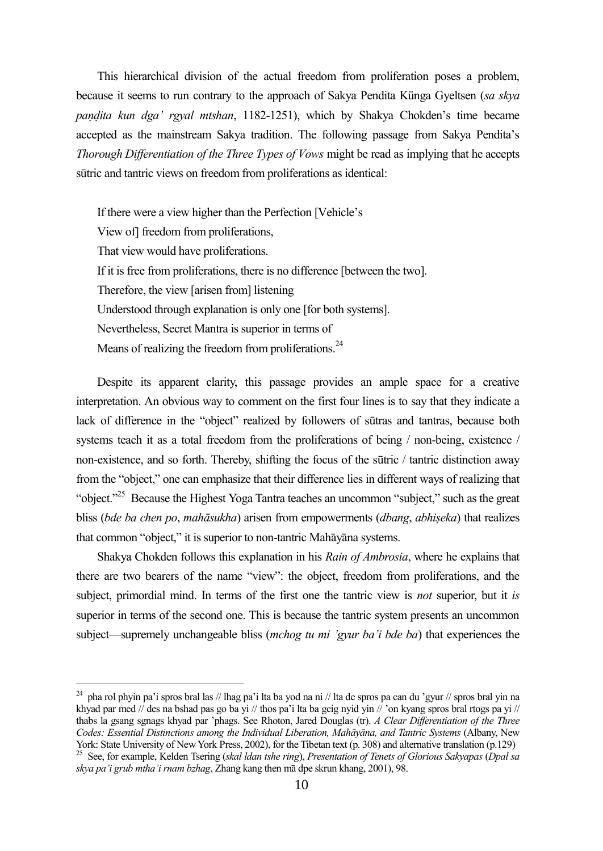This hierarchical division of the actual freedom from proliferation poses a problem, because it seems to run contrary to the approach of Sakya Pendita Künga Gyeltsen (*sa skya paṇḍita kun dga' rgyal mtshan*, 1182-1251), which by Shakya Chokden's time became accepted as the mainstream Sakya tradition. The following passage from Sakya Pendita's *Thorough Differentiation of the Three Types of Vows* might be read as implying that he accepts sūtric and tantric views on freedom from proliferations as identical:

If there were a view higher than the Perfection [Vehicle's View of] freedom from proliferations, That view would have proliferations. If it is free from proliferations, there is no difference [between the two]. Therefore, the view [arisen from] listening Understood through explanation is only one [for both systems]. Nevertheless, Secret Mantra is superior in terms of Means of realizing the freedom from proliferations. $^{24}$ 

Despite its apparent clarity, this passage provides an ample space for a creative interpretation. An obvious way to comment on the first four lines is to say that they indicate a lack of difference in the "object" realized by followers of sūtras and tantras, because both systems teach it as a total freedom from the proliferations of being / non-being, existence / non-existence, and so forth. Thereby, shifting the focus of the sūtric / tantric distinction away from the "object," one can emphasize that their difference lies in different ways of realizing that "object."<sup>25</sup> Because the Highest Yoga Tantra teaches an uncommon "subject," such as the great bliss (*bde ba chen po*, *mahāsukha*) arisen from empowerments (*dbang*, *abhiṣeka*) that realizes that common "object," it is superior to non-tantric Mahāyāna systems.

Shakya Chokden follows this explanation in his *Rain of Ambrosia*, where he explains that there are two bearers of the name "view": the object, freedom from proliferations, and the subject, primordial mind. In terms of the first one the tantric view is *not* superior, but it *is* superior in terms of the second one. This is because the tantric system presents an uncommon subject—supremely unchangeable bliss (*mchog tu mi 'gyur ba'i bde ba*) that experiences the

<sup>&</sup>lt;sup>24</sup> pha rol phyin pa'i spros bral las // lhag pa'i lta ba yod na ni // lta de spros pa can du 'gyur // spros bral yin na khyad par med // des na bshad pas go ba yi // thos pa'i lta ba gcig nyid yin // 'on kyang spros bral rtogs pa yi // thabs la gsang sgnags khyad par 'phags. See Rhoton, Jared Douglas (tr). *A Clear Differentiation of the Three Codes: Essential Distinctions among the Individual Liberation, Mahāyāna, and Tantric Systems* (Albany, New York: State University of New York Press, 2002), for the Tibetan text (p. 308) and alternative translation (p.129)

<sup>25</sup> See, for example, Kelden Tsering (*skal ldan tshe ring*), *Presentation of Tenets of Glorious Sakyapas* (*Dpal sa skya pa'i grub mtha'i rnam bzhag*, Zhang kang then mā dpe skrun khang, 2001), 98.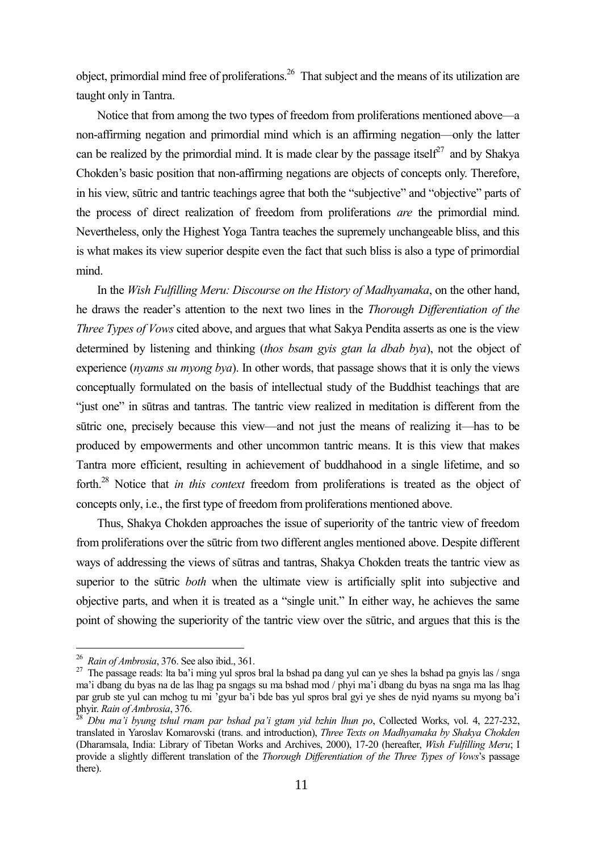object, primordial mind free of proliferations.<sup>26</sup> That subject and the means of its utilization are taught only in Tantra.

Notice that from among the two types of freedom from proliferations mentioned above—a non-affirming negation and primordial mind which is an affirming negation—only the latter can be realized by the primordial mind. It is made clear by the passage itself<sup>27</sup> and by Shakva Chokden's basic position that non-affirming negations are objects of concepts only. Therefore, in his view, sūtric and tantric teachings agree that both the "subjective" and "objective" parts of the process of direct realization of freedom from proliferations *are* the primordial mind. Nevertheless, only the Highest Yoga Tantra teaches the supremely unchangeable bliss, and this is what makes its view superior despite even the fact that such bliss is also a type of primordial mind.

In the *Wish Fulfilling Meru: Discourse on the History of Madhyamaka*, on the other hand, he draws the reader's attention to the next two lines in the *Thorough Differentiation of the Three Types of Vows* cited above, and argues that what Sakya Pendita asserts as one is the view determined by listening and thinking (*thos bsam gyis gtan la dbab bya*), not the object of experience (*nyams su myong bya*). In other words, that passage shows that it is only the views conceptually formulated on the basis of intellectual study of the Buddhist teachings that are "just one" in sūtras and tantras. The tantric view realized in meditation is different from the sūtric one, precisely because this view—and not just the means of realizing it—has to be produced by empowerments and other uncommon tantric means. It is this view that makes Tantra more efficient, resulting in achievement of buddhahood in a single lifetime, and so forth.<sup>28</sup> Notice that *in this context* freedom from proliferations is treated as the object of concepts only, i.e., the first type of freedom from proliferations mentioned above.

Thus, Shakya Chokden approaches the issue of superiority of the tantric view of freedom from proliferations over the sūtric from two different angles mentioned above. Despite different ways of addressing the views of sūtras and tantras, Shakya Chokden treats the tantric view as superior to the sūtric *both* when the ultimate view is artificially split into subjective and objective parts, and when it is treated as a "single unit." In either way, he achieves the same point of showing the superiority of the tantric view over the sūtric, and argues that this is the

<sup>26</sup> *Rain of Ambrosia*, 376. See also ibid., 361.

<sup>&</sup>lt;sup>27</sup> The passage reads: Ita ba'i ming yul spros bral la bshad pa dang yul can ye shes la bshad pa gnyis las / snga ma'i dbang du byas na de las lhag pa sngags su ma bshad mod / phyi ma'i dbang du byas na snga ma las lhag par grub ste yul can mchog tu mi 'gyur ba'i bde bas yul spros bral gyi ye shes de nyid nyams su myong ba'i phyir. *Rain of Ambrosia*, 376.

<sup>28</sup> *Dbu ma'i byung tshul rnam par bshad pa'i gtam yid bzhin lhun po*, Collected Works, vol. 4, 227-232, translated in Yaroslav Komarovski (trans. and introduction), *Three Texts on Madhyamaka by Shakya Chokden* (Dharamsala, India: Library of Tibetan Works and Archives, 2000), 17-20 (hereafter, *Wish Fulfilling Meru*; I provide a slightly different translation of the *Thorough Differentiation of the Three Types of Vows*'s passage there).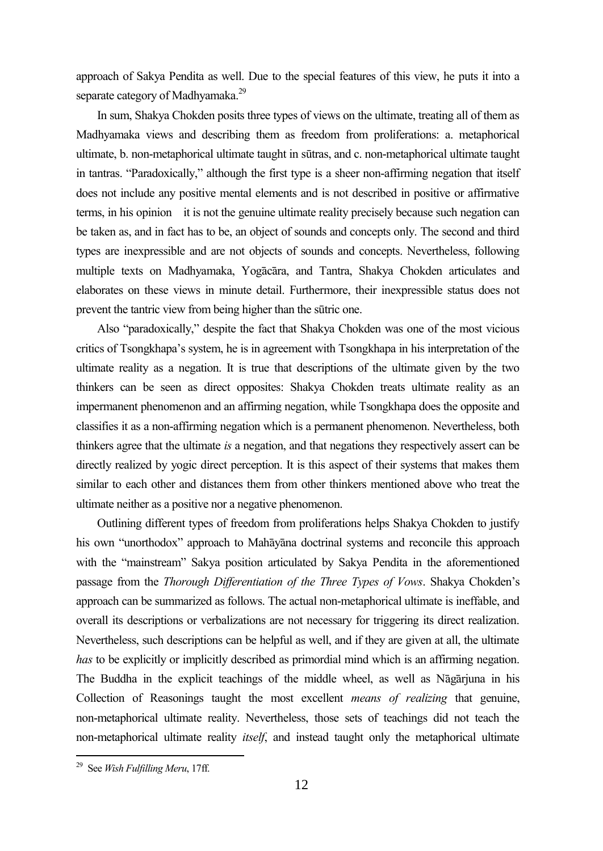approach of Sakya Pendita as well. Due to the special features of this view, he puts it into a separate category of Madhyamaka.<sup>29</sup>

In sum, Shakya Chokden posits three types of views on the ultimate, treating all of them as Madhyamaka views and describing them as freedom from proliferations: a. metaphorical ultimate, b. non-metaphorical ultimate taught in sūtras, and c. non-metaphorical ultimate taught in tantras. "Paradoxically," although the first type is a sheer non-affirming negation that itself does not include any positive mental elements and is not described in positive or affirmative terms, in his opinion it is not the genuine ultimate reality precisely because such negation can be taken as, and in fact has to be, an object of sounds and concepts only. The second and third types are inexpressible and are not objects of sounds and concepts. Nevertheless, following multiple texts on Madhyamaka, Yogācāra, and Tantra, Shakya Chokden articulates and elaborates on these views in minute detail. Furthermore, their inexpressible status does not prevent the tantric view from being higher than the sūtric one.

Also "paradoxically," despite the fact that Shakya Chokden was one of the most vicious critics of Tsongkhapa's system, he is in agreement with Tsongkhapa in his interpretation of the ultimate reality as a negation. It is true that descriptions of the ultimate given by the two thinkers can be seen as direct opposites: Shakya Chokden treats ultimate reality as an impermanent phenomenon and an affirming negation, while Tsongkhapa does the opposite and classifies it as a non-affirming negation which is a permanent phenomenon. Nevertheless, both thinkers agree that the ultimate *is* a negation, and that negations they respectively assert can be directly realized by yogic direct perception. It is this aspect of their systems that makes them similar to each other and distances them from other thinkers mentioned above who treat the ultimate neither as a positive nor a negative phenomenon.

Outlining different types of freedom from proliferations helps Shakya Chokden to justify his own "unorthodox" approach to Mahāyāna doctrinal systems and reconcile this approach with the "mainstream" Sakya position articulated by Sakya Pendita in the aforementioned passage from the *Thorough Differentiation of the Three Types of Vows*. Shakya Chokden's approach can be summarized as follows. The actual non-metaphorical ultimate is ineffable, and overall its descriptions or verbalizations are not necessary for triggering its direct realization. Nevertheless, such descriptions can be helpful as well, and if they are given at all, the ultimate *has* to be explicitly or implicitly described as primordial mind which is an affirming negation. The Buddha in the explicit teachings of the middle wheel, as well as Nāgārjuna in his Collection of Reasonings taught the most excellent *means of realizing* that genuine, non-metaphorical ultimate reality. Nevertheless, those sets of teachings did not teach the non-metaphorical ultimate reality *itself*, and instead taught only the metaphorical ultimate

<sup>29</sup> See *Wish Fulfilling Meru*, 17ff.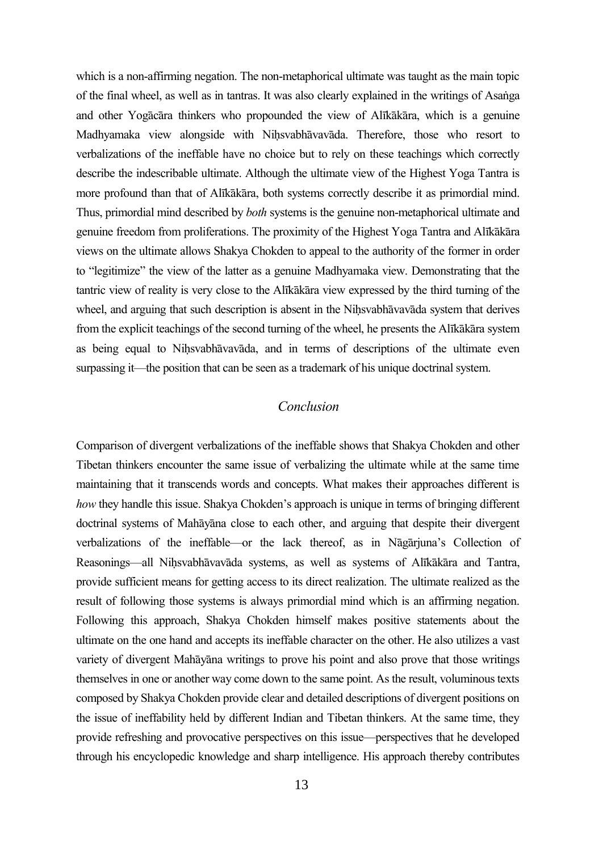which is a non-affirming negation. The non-metaphorical ultimate was taught as the main topic of the final wheel, as well as in tantras. It was also clearly explained in the writings of Asaṅga and other Yogācāra thinkers who propounded the view of Alīkākāra, which is a genuine Madhyamaka view alongside with Niḥsvabhāvavāda. Therefore, those who resort to verbalizations of the ineffable have no choice but to rely on these teachings which correctly describe the indescribable ultimate. Although the ultimate view of the Highest Yoga Tantra is more profound than that of Alīkākāra, both systems correctly describe it as primordial mind. Thus, primordial mind described by *both* systems is the genuine non-metaphorical ultimate and genuine freedom from proliferations. The proximity of the Highest Yoga Tantra and Alīkākāra views on the ultimate allows Shakya Chokden to appeal to the authority of the former in order to "legitimize" the view of the latter as a genuine Madhyamaka view. Demonstrating that the tantric view of reality is very close to the Alīkākāra view expressed by the third turning of the wheel, and arguing that such description is absent in the Niḥsvabhāvavāda system that derives from the explicit teachings of the second turning of the wheel, he presents the Alīkākāra system as being equal to Niḥsvabhāvavāda, and in terms of descriptions of the ultimate even surpassing it—the position that can be seen as a trademark of his unique doctrinal system.

#### *Conclusion*

Comparison of divergent verbalizations of the ineffable shows that Shakya Chokden and other Tibetan thinkers encounter the same issue of verbalizing the ultimate while at the same time maintaining that it transcends words and concepts. What makes their approaches different is *how* they handle this issue. Shakya Chokden's approach is unique in terms of bringing different doctrinal systems of Mahāyāna close to each other, and arguing that despite their divergent verbalizations of the ineffable—or the lack thereof, as in Nāgārjuna's Collection of Reasonings—all Niḥsvabhāvavāda systems, as well as systems of Alīkākāra and Tantra, provide sufficient means for getting access to its direct realization. The ultimate realized as the result of following those systems is always primordial mind which is an affirming negation. Following this approach, Shakya Chokden himself makes positive statements about the ultimate on the one hand and accepts its ineffable character on the other. He also utilizes a vast variety of divergent Mahāyāna writings to prove his point and also prove that those writings themselves in one or another way come down to the same point. As the result, voluminous texts composed by Shakya Chokden provide clear and detailed descriptions of divergent positions on the issue of ineffability held by different Indian and Tibetan thinkers. At the same time, they provide refreshing and provocative perspectives on this issue—perspectives that he developed through his encyclopedic knowledge and sharp intelligence. His approach thereby contributes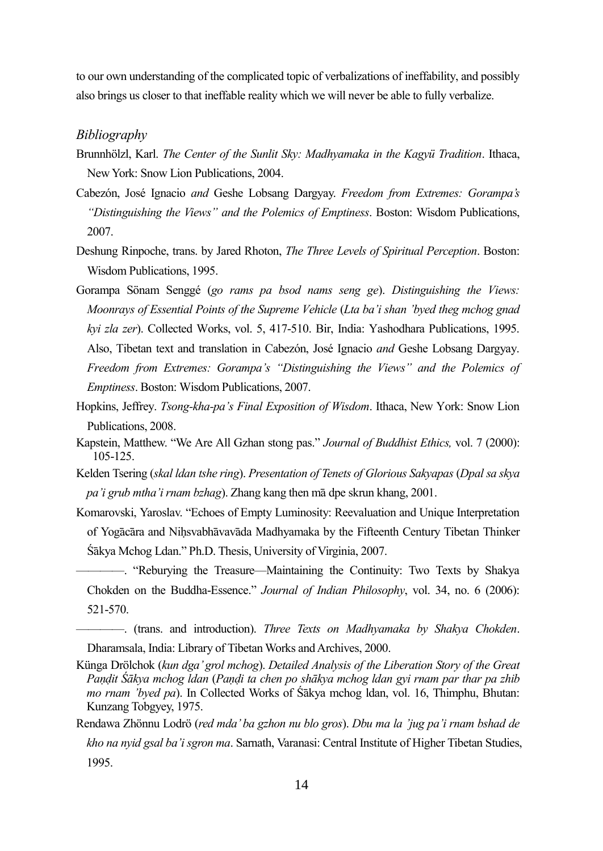to our own understanding of the complicated topic of verbalizations of ineffability, and possibly also brings us closer to that ineffable reality which we will never be able to fully verbalize.

#### *Bibliography*

- Brunnhölzl, Karl. *The Center of the Sunlit Sky: Madhyamaka in the Kagyü Tradition*. Ithaca, New York: Snow Lion Publications, 2004.
- Cabezón, José Ignacio *and* Geshe Lobsang Dargyay. *Freedom from Extremes: Gorampa's "Distinguishing the Views" and the Polemics of Emptiness*. Boston: Wisdom Publications, 2007.
- Deshung Rinpoche, trans. by Jared Rhoton, *The Three Levels of Spiritual Perception*. Boston: Wisdom Publications, 1995.
- Gorampa Sönam Senggé (*go rams pa bsod nams seng ge*). *Distinguishing the Views: Moonrays of Essential Points of the Supreme Vehicle* (*Lta ba'i shan 'byed theg mchog gnad kyi zla zer*). Collected Works, vol. 5, 417-510. Bir, India: Yashodhara Publications, 1995. Also, Tibetan text and translation in Cabezón, José Ignacio *and* Geshe Lobsang Dargyay. *Freedom from Extremes: Gorampa's "Distinguishing the Views" and the Polemics of Emptiness*. Boston: Wisdom Publications, 2007.
- Hopkins, Jeffrey. *Tsong-kha-pa's Final Exposition of Wisdom*. Ithaca, New York: Snow Lion Publications, 2008.
- Kapstein, Matthew. "We Are All Gzhan stong pas." *Journal of Buddhist Ethics,* vol. 7 (2000): 105-125.
- Kelden Tsering (*skal ldan tshe ring*). *Presentation of Tenets of Glorious Sakyapas* (*Dpal sa skya pa'i grub mtha'i rnam bzhag*). Zhang kang then mā dpe skrun khang, 2001.
- Komarovski, Yaroslav. "Echoes of Empty Luminosity: Reevaluation and Unique Interpretation of Yogācāra and Niḥsvabhāvavāda Madhyamaka by the Fifteenth Century Tibetan Thinker Śākya Mchog Ldan." Ph.D. Thesis, University of Virginia, 2007.

————. "Reburying the Treasure—Maintaining the Continuity: Two Texts by Shakya Chokden on the Buddha-Essence." *Journal of Indian Philosophy*, vol. 34, no. 6 (2006): 521-570.

- ————. (trans. and introduction). *Three Texts on Madhyamaka by Shakya Chokden*. Dharamsala, India: Library of Tibetan Works and Archives, 2000.
- Künga Drölchok (*kun dga' grol mchog*). *Detailed Analysis of the Liberation Story of the Great Paṇḍit Śākya mchog ldan* (*Paṇḍi ta chen po shākya mchog ldan gyi rnam par thar pa zhib mo rnam 'byed pa*). In Collected Works of Śākya mchog ldan, vol. 16, Thimphu, Bhutan: Kunzang Tobgyey, 1975.
- Rendawa Zhönnu Lodrö (*red mda' ba gzhon nu blo gros*). *Dbu ma la 'jug pa'i rnam bshad de kho na nyid gsal ba'i sgron ma*. Sarnath, Varanasi: Central Institute of Higher Tibetan Studies, 1995.